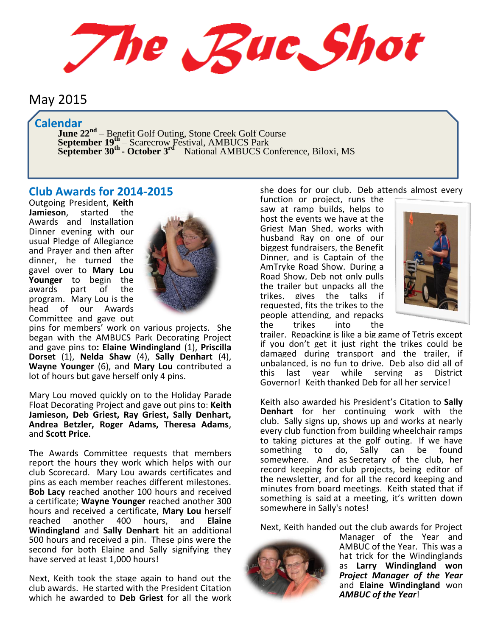The Rue Shot

# May 2015

# **Calendar**

**June 22<sup>nd</sup>** – Benefit Golf Outing, Stone Creek Golf Course **September 19<sup>th</sup>** – Scarecrow Festival, AMBUCS Park **September 30th - October 3rd** – National AMBUCS Conference, Biloxi, MS

## **Club Awards for 2014-2015**

Outgoing President, **Keith Jamieson**, started the Awards and Installation Dinner evening with our usual Pledge of Allegiance and Prayer and then after dinner, he turned the gavel over to **Mary Lou Younger** to begin the awards part of the program. Mary Lou is the head of our Awards Committee and gave out



pins for members' work on various projects. She began with the AMBUCS Park Decorating Project and gave pins to**: Elaine Windingland** (1), **Priscilla Dorset** (1), **Nelda Shaw** (4), **Sally Denhart** (4), **Wayne Younger** (6), and **Mary Lou** contributed a lot of hours but gave herself only 4 pins.

Mary Lou moved quickly on to the Holiday Parade Float Decorating Project and gave out pins to: **Keith Jamieson, Deb Griest, Ray Griest, Sally Denhart, Andrea Betzler, Roger Adams, Theresa Adams**, and **Scott Price**.

The Awards Committee requests that members report the hours they work which helps with our club Scorecard. Mary Lou awards certificates and pins as each member reaches different milestones. **Bob Lacy** reached another 100 hours and received a certificate; **Wayne Younger** reached another 300 hours and received a certificate, **Mary Lou** herself reached another 400 hours, and **Elaine Windingland** and **Sally Denhart** hit an additional 500 hours and received a pin. These pins were the second for both Elaine and Sally signifying they have served at least 1,000 hours!

Next, Keith took the stage again to hand out the club awards. He started with the President Citation which he awarded to **Deb Griest** for all the work

she does for our club. Deb attends almost every

function or project, runs the saw at ramp builds, helps to host the events we have at the Griest Man Shed, works with husband Ray on one of our biggest fundraisers, the Benefit Dinner, and is Captain of the AmTryke Road Show. During a Road Show, Deb not only pulls the trailer but unpacks all the trikes, gives the talks if requested, fits the trikes to the people attending, and repacks<br>the trikes into the the trikes into the



trailer. Repacking is like a big game of Tetris except if you don't get it just right the trikes could be damaged during transport and the trailer, if unbalanced, is no fun to drive. Deb also did all of this last year while serving as District Governor! Keith thanked Deb for all her service!

Keith also awarded his President's Citation to **Sally Denhart** for her continuing work with the club. Sally signs up, shows up and works at nearly every club function from building wheelchair ramps to taking pictures at the golf outing. If we have<br>something to do, Sally can be found something somewhere. And as Secretary of the club, her record keeping for club projects, being editor of the newsletter, and for all the record keeping and minutes from board meetings. Keith stated that if something is said at a meeting, it's written down somewhere in Sally's notes!

Next, Keith handed out the club awards for Project



Manager of the Year and AMBUC of the Year. This was a hat trick for the Windinglands as **Larry Windingland won**  *Project Manager of the Year* and **Elaine Windingland** won *AMBUC of the Year*!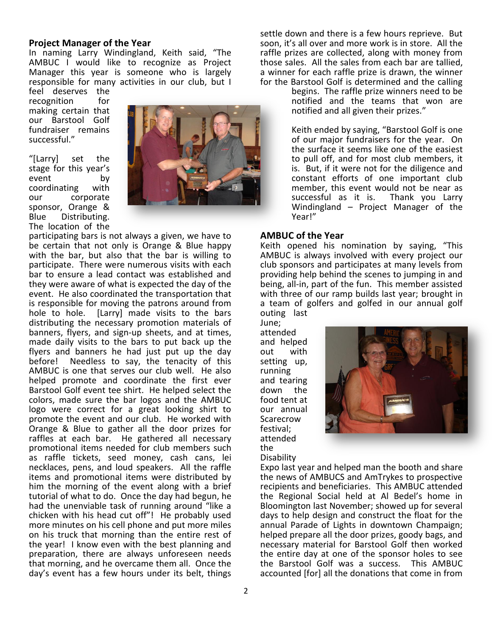#### **Project Manager of the Year**

In naming Larry Windingland, Keith said, "The AMBUC I would like to recognize as Project Manager this year is someone who is largely responsible for many activities in our club, but I

feel deserves the recognition for making certain that our Barstool Golf fundraiser remains successful."

"[Larry] set the stage for this year's event by coordinating with our corporate sponsor, Orange & Blue Distributing. The location of the



participating bars is not always a given, we have to be certain that not only is Orange & Blue happy with the bar, but also that the bar is willing to participate. There were numerous visits with each bar to ensure a lead contact was established and they were aware of what is expected the day of the event. He also coordinated the transportation that is responsible for moving the patrons around from hole to hole. [Larry] made visits to the bars distributing the necessary promotion materials of banners, flyers, and sign-up sheets, and at times, made daily visits to the bars to put back up the flyers and banners he had just put up the day before! Needless to say, the tenacity of this AMBUC is one that serves our club well. He also helped promote and coordinate the first ever Barstool Golf event tee shirt. He helped select the colors, made sure the bar logos and the AMBUC logo were correct for a great looking shirt to promote the event and our club. He worked with Orange & Blue to gather all the door prizes for raffles at each bar. He gathered all necessary promotional items needed for club members such as raffle tickets, seed money, cash cans, lei necklaces, pens, and loud speakers. All the raffle items and promotional items were distributed by him the morning of the event along with a brief tutorial of what to do. Once the day had begun, he had the unenviable task of running around "like a chicken with his head cut off"! He probably used more minutes on his cell phone and put more miles on his truck that morning than the entire rest of the year! I know even with the best planning and preparation, there are always unforeseen needs that morning, and he overcame them all. Once the day's event has a few hours under its belt, things

settle down and there is a few hours reprieve. But soon, it's all over and more work is in store. All the raffle prizes are collected, along with money from those sales. All the sales from each bar are tallied, a winner for each raffle prize is drawn, the winner for the Barstool Golf is determined and the calling

begins. The raffle prize winners need to be notified and the teams that won are notified and all given their prizes."

Keith ended by saying, "Barstool Golf is one of our major fundraisers for the year. On the surface it seems like one of the easiest to pull off, and for most club members, it is. But, if it were not for the diligence and constant efforts of one important club member, this event would not be near as successful as it is. Thank you Larry Windingland – Project Manager of the Year!"

#### **AMBUC of the Year**

Keith opened his nomination by saying, "This AMBUC is always involved with every project our club sponsors and participates at many levels from providing help behind the scenes to jumping in and being, all-in, part of the fun. This member assisted with three of our ramp builds last year; brought in a team of golfers and golfed in our annual golf outing last

June; attended and helped out with setting up, running and tearing down the food tent at our annual Scarecrow festival; attended the **Disability** 



Expo last year and helped man the booth and share the news of AMBUCS and AmTrykes to prospective recipients and beneficiaries. This AMBUC attended the Regional Social held at Al Bedel's home in Bloomington last November; showed up for several days to help design and construct the float for the annual Parade of Lights in downtown Champaign; helped prepare all the door prizes, goody bags, and necessary material for Barstool Golf then worked the entire day at one of the sponsor holes to see the Barstool Golf was a success. This AMBUC accounted [for] all the donations that come in from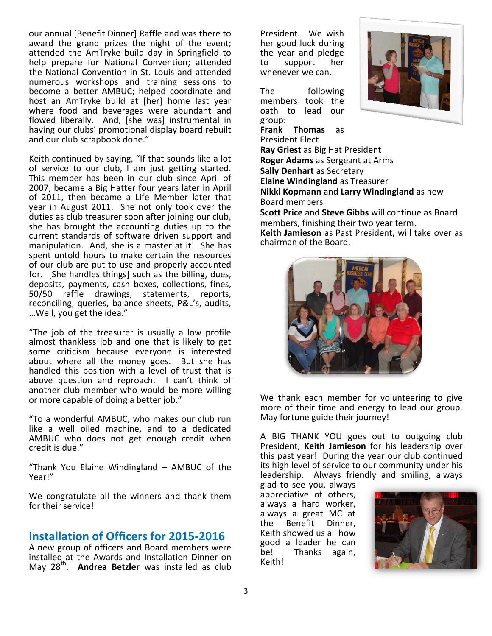our annual [Benefit Dinner] Raffle and was there to award the grand prizes the night of the event; attended the AmTryke build day in Springfield to help prepare for National Convention; attended the National Convention in St. Louis and attended numerous workshops and training sessions to become a better AMBUC; helped coordinate and host an AmTryke build at [her] home last year where food and beverages were abundant and flowed liberally. And, [she was] instrumental in having our clubs' promotional display board rebuilt and our club scrapbook done."

Keith continued by saying, "If that sounds like a lot of service to our club, I am just getting started. This member has been in our club since April of 2007, became a Big Hatter four years later in April of 2011, then became a Life Member later that year in August 2011. She not only took over the duties as club treasurer soon after joining our club, she has brought the accounting duties up to the current standards of software driven support and manipulation. And, she is a master at it! She has spent untold hours to make certain the resources of our club are put to use and properly accounted for. [She handles things] such as the billing, dues, deposits, payments, cash boxes, collections, fines, 50/50 raffle drawings, statements, reports, reconciling, queries, balance sheets, P&L's, audits, …Well, you get the idea."

"The job of the treasurer is usually a low profile almost thankless job and one that is likely to get some criticism because everyone is interested about where all the money goes. But she has handled this position with a level of trust that is above question and reproach. I can't think of another club member who would be more willing or more capable of doing a better job."

"To a wonderful AMBUC, who makes our club run like a well oiled machine, and to a dedicated AMBUC who does not get enough credit when credit is due."

"Thank You Elaine Windingland – AMBUC of the Year!"

We congratulate all the winners and thank them for their service!

# **Installation of Officers for 2015-2016**

A new group of officers and Board members were installed at the Awards and Installation Dinner on May 28<sup>th</sup>. **Andrea Betzler** was installed as club

President. We wish her good luck during the year and pledge to support her whenever we can.

The following members took the oath to lead our group:

**Frank Thomas** as



President Elect **Ray Griest** as Big Hat President **Roger Adams** as Sergeant at Arms **Sally Denhart** as Secretary **Elaine Windingland** as Treasurer **Nikki Kopmann** and **Larry Windingland** as new Board members **Scott Price** and **Steve Gibbs** will continue as Board members, finishing their two year term. **Keith Jamieson** as Past President, will take over as chairman of the Board.



We thank each member for volunteering to give more of their time and energy to lead our group. May fortune guide their journey!

A BIG THANK YOU goes out to outgoing club President, **Keith Jamieson** for his leadership over this past year! During the year our club continued its high level of service to our community under his leadership. Always friendly and smiling, always

glad to see you, always appreciative of others, always a hard worker, always a great MC at the Benefit Dinner, Keith showed us all how good a leader he can be! Thanks again, Keith!

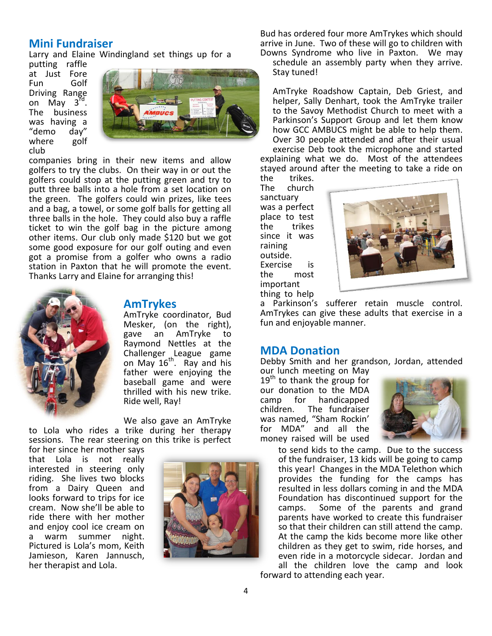## **Mini Fundraiser**

Larry and Elaine Windingland set things up for a

putting raffle at Just Fore Fun Golf Driving Range on May 3rd. The business was having a "demo day" where golf club



companies bring in their new items and allow golfers to try the clubs. On their way in or out the golfers could stop at the putting green and try to putt three balls into a hole from a set location on the green. The golfers could win prizes, like tees and a bag, a towel, or some golf balls for getting all three balls in the hole. They could also buy a raffle ticket to win the golf bag in the picture among other items. Our club only made \$120 but we got some good exposure for our golf outing and even got a promise from a golfer who owns a radio station in Paxton that he will promote the event. Thanks Larry and Elaine for arranging this!



## **AmTrykes**

AmTryke coordinator, Bud Mesker, (on the right), gave an AmTryke to Raymond Nettles at the Challenger League game on May  $16^{th}$ . Ray and his father were enjoying the baseball game and were thrilled with his new trike. Ride well, Ray!

We also gave an AmTryke to Lola who rides a trike during her therapy sessions. The rear steering on this trike is perfect

for her since her mother says that Lola is not really interested in steering only riding. She lives two blocks from a Dairy Queen and looks forward to trips for ice cream. Now she'll be able to ride there with her mother and enjoy cool ice cream on a warm summer night. Pictured is Lola's mom, Keith Jamieson, Karen Jannusch, her therapist and Lola.



Bud has ordered four more AmTrykes which should arrive in June. Two of these will go to children with Downs Syndrome who live in Paxton. We may

schedule an assembly party when they arrive. Stay tuned!

AmTryke Roadshow Captain, Deb Griest, and helper, Sally Denhart, took the AmTryke trailer to the Savoy Methodist Church to meet with a Parkinson's Support Group and let them know how GCC AMBUCS might be able to help them. Over 30 people attended and after their usual exercise Deb took the microphone and started explaining what we do. Most of the attendees

the trikes. The church sanctuary was a perfect place to test the trikes since it was raining outside. Exercise is the most important thing to help



a Parkinson's sufferer retain muscle control. AmTrykes can give these adults that exercise in a fun and enjoyable manner.

#### **MDA Donation**

Debby Smith and her grandson, Jordan, attended our lunch meeting on May

 $19<sup>th</sup>$  to thank the group for our donation to the MDA camp for handicapped children. The fundraiser was named, "Sham Rockin' for MDA" and all the money raised will be used



to send kids to the camp. Due to the success of the fundraiser, 13 kids will be going to camp this year! Changes in the MDA Telethon which provides the funding for the camps has resulted in less dollars coming in and the MDA Foundation has discontinued support for the camps. Some of the parents and grand parents have worked to create this fundraiser so that their children can still attend the camp. At the camp the kids become more like other children as they get to swim, ride horses, and even ride in a motorcycle sidecar. Jordan and all the children love the camp and look forward to attending each year.

4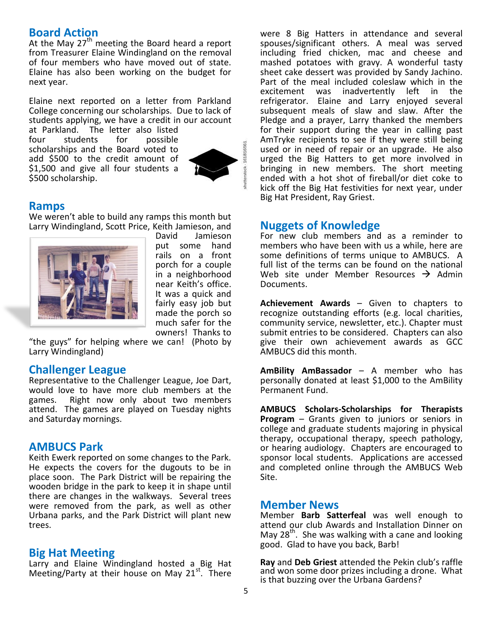#### **Board Action**

At the May  $27<sup>th</sup>$  meeting the Board heard a report from Treasurer Elaine Windingland on the removal of four members who have moved out of state. Elaine has also been working on the budget for next year.

Elaine next reported on a letter from Parkland College concerning our scholarships. Due to lack of students applying, we have a credit in our account

at Parkland. The letter also listed four students for possible scholarships and the Board voted to add \$500 to the credit amount of \$1,500 and give all four students a \$500 scholarship.



#### **Ramps**

We weren't able to build any ramps this month but Larry Windingland, Scott Price, Keith Jamieson, and



David Jamieson put some hand rails on a front porch for a couple in a neighborhood near Keith's office. It was a quick and fairly easy job but made the porch so much safer for the owners! Thanks to

"the guys" for helping where we can! (Photo by Larry Windingland)

#### **Challenger League**

Representative to the Challenger League, Joe Dart, would love to have more club members at the games. Right now only about two members attend. The games are played on Tuesday nights and Saturday mornings.

## **AMBUCS Park**

Keith Ewerk reported on some changes to the Park. He expects the covers for the dugouts to be in place soon. The Park District will be repairing the wooden bridge in the park to keep it in shape until there are changes in the walkways. Several trees were removed from the park, as well as other Urbana parks, and the Park District will plant new trees.

#### **Big Hat Meeting**

Larry and Elaine Windingland hosted a Big Hat Meeting/Party at their house on May 21st. There were 8 Big Hatters in attendance and several spouses/significant others. A meal was served including fried chicken, mac and cheese and mashed potatoes with gravy. A wonderful tasty sheet cake dessert was provided by Sandy Jachino. Part of the meal included coleslaw which in the excitement was inadvertently left in the refrigerator. Elaine and Larry enjoyed several subsequent meals of slaw and slaw. After the Pledge and a prayer, Larry thanked the members for their support during the year in calling past AmTryke recipients to see if they were still being used or in need of repair or an upgrade. He also urged the Big Hatters to get more involved in bringing in new members. The short meeting ended with a hot shot of fireball/or diet coke to kick off the Big Hat festivities for next year, under Big Hat President, Ray Griest.

#### **Nuggets of Knowledge**

For new club members and as a reminder to members who have been with us a while, here are some definitions of terms unique to AMBUCS. A full list of the terms can be found on the national Web site under Member Resources  $\rightarrow$  Admin Documents.

**Achievement Awards** – Given to chapters to recognize outstanding efforts (e.g. local charities, community service, newsletter, etc.). Chapter must submit entries to be considered. Chapters can also give their own achievement awards as GCC AMBUCS did this month.

**AmBility AmBassador** – A member who has personally donated at least \$1,000 to the AmBility Permanent Fund.

**AMBUCS Scholars-Scholarships for Therapists Program** – Grants given to juniors or seniors in college and graduate students majoring in physical therapy, occupational therapy, speech pathology, or hearing audiology. Chapters are encouraged to sponsor local students. Applications are accessed and completed online through the AMBUCS Web Site.

#### **Member News**

Member **Barb Satterfeal** was well enough to attend our club Awards and Installation Dinner on May  $28<sup>th</sup>$ . She was walking with a cane and looking good. Glad to have you back, Barb!

**Ray** and **Deb Griest** attended the Pekin club's raffle and won some door prizes including a drone. What is that buzzing over the Urbana Gardens?